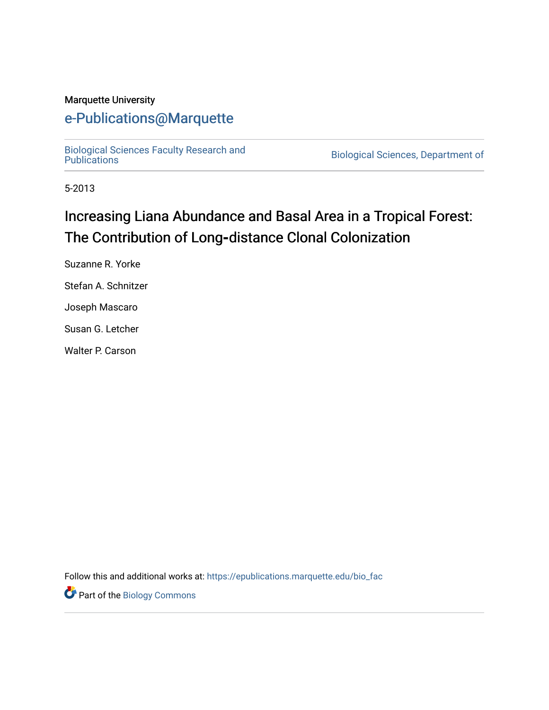#### Marquette University

# [e-Publications@Marquette](https://epublications.marquette.edu/)

[Biological Sciences Faculty Research and](https://epublications.marquette.edu/bio_fac) 

Biological Sciences, Department of

5-2013

# Increasing Liana Abundance and Basal Area in a Tropical Forest: The Contribution of Long**‐**distance Clonal Colonization

Suzanne R. Yorke Stefan A. Schnitzer

Joseph Mascaro

Susan G. Letcher

Walter P. Carson

Follow this and additional works at: [https://epublications.marquette.edu/bio\\_fac](https://epublications.marquette.edu/bio_fac?utm_source=epublications.marquette.edu%2Fbio_fac%2F720&utm_medium=PDF&utm_campaign=PDFCoverPages) 

Part of the [Biology Commons](http://network.bepress.com/hgg/discipline/41?utm_source=epublications.marquette.edu%2Fbio_fac%2F720&utm_medium=PDF&utm_campaign=PDFCoverPages)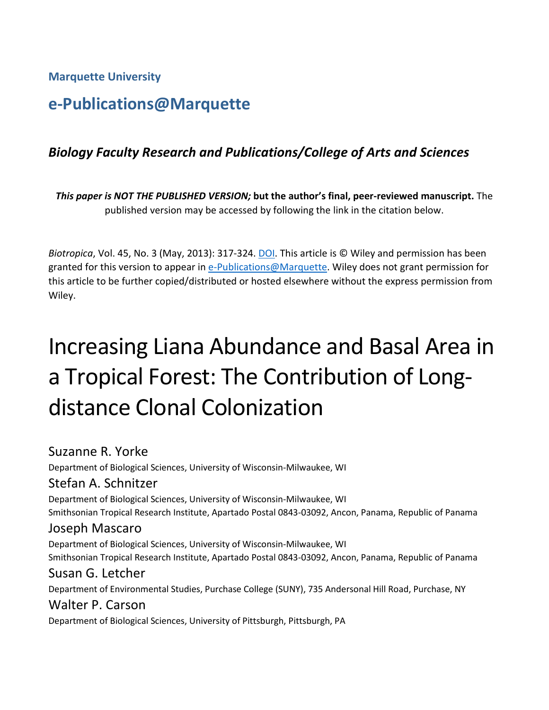**Marquette University**

# **e-Publications@Marquette**

# *Biology Faculty Research and Publications/College of Arts and Sciences*

*This paper is NOT THE PUBLISHED VERSION;* **but the author's final, peer-reviewed manuscript.** The published version may be accessed by following the link in the citation below.

*Biotropica*, Vol. 45, No. 3 (May, 2013): 317-324. DOI. This article is © Wiley and permission has been granted for this version to appear in [e-Publications@Marquette.](http://epublications.marquette.edu/) Wiley does not grant permission for this article to be further copied/distributed or hosted elsewhere without the express permission from Wiley.

# Increasing Liana Abundance and Basal Area in a Tropical Forest: The Contribution of Longdistance Clonal Colonization

Suzanne R. Yorke

Department of Biological Sciences, University of Wisconsin-Milwaukee, WI

#### Stefan A. Schnitzer

Department of Biological Sciences, University of Wisconsin-Milwaukee, WI Smithsonian Tropical Research Institute, Apartado Postal 0843-03092, Ancon, Panama, Republic of Panama

#### Joseph Mascaro

Department of Biological Sciences, University of Wisconsin-Milwaukee, WI Smithsonian Tropical Research Institute, Apartado Postal 0843-03092, Ancon, Panama, Republic of Panama

## Susan G. Letcher

Department of Environmental Studies, Purchase College (SUNY), 735 Andersonal Hill Road, Purchase, NY

# Walter P. Carson

Department of Biological Sciences, University of Pittsburgh, Pittsburgh, PA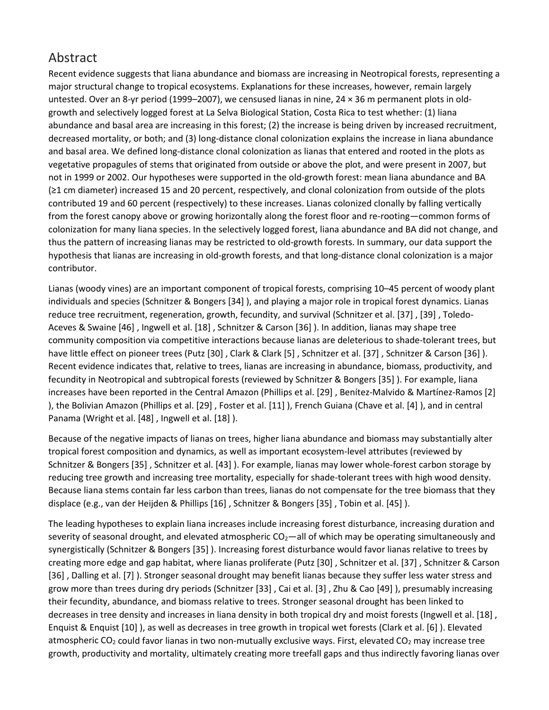# Abstract

Recent evidence suggests that liana abundance and biomass are increasing in Neotropical forests, representing a major structural change to tropical ecosystems. Explanations for these increases, however, remain largely untested. Over an 8-yr period (1999–2007), we censused lianas in nine, 24 × 36 m permanent plots in oldgrowth and selectively logged forest at La Selva Biological Station, Costa Rica to test whether: (1) liana abundance and basal area are increasing in this forest; (2) the increase is being driven by increased recruitment, decreased mortality, or both; and (3) long-distance clonal colonization explains the increase in liana abundance and basal area. We defined long-distance clonal colonization as lianas that entered and rooted in the plots as vegetative propagules of stems that originated from outside or above the plot, and were present in 2007, but not in 1999 or 2002. Our hypotheses were supported in the old-growth forest: mean liana abundance and BA (≥1 cm diameter) increased 15 and 20 percent, respectively, and clonal colonization from outside of the plots contributed 19 and 60 percent (respectively) to these increases. Lianas colonized clonally by falling vertically from the forest canopy above or growing horizontally along the forest floor and re-rooting—common forms of colonization for many liana species. In the selectively logged forest, liana abundance and BA did not change, and thus the pattern of increasing lianas may be restricted to old-growth forests. In summary, our data support the hypothesis that lianas are increasing in old-growth forests, and that long-distance clonal colonization is a major contributor.

Lianas (woody vines) are an important component of tropical forests, comprising 10–45 percent of woody plant individuals and species (Schnitzer & Bongers [34] ), and playing a major role in tropical forest dynamics. Lianas reduce tree recruitment, regeneration, growth, fecundity, and survival (Schnitzer et al. [37] , [39] , Toledo-Aceves & Swaine [46] , Ingwell et al. [18] , Schnitzer & Carson [36] ). In addition, lianas may shape tree community composition via competitive interactions because lianas are deleterious to shade-tolerant trees, but have little effect on pioneer trees (Putz [30] , Clark & Clark [5] , Schnitzer et al. [37] , Schnitzer & Carson [36] ). Recent evidence indicates that, relative to trees, lianas are increasing in abundance, biomass, productivity, and fecundity in Neotropical and subtropical forests (reviewed by Schnitzer & Bongers [35] ). For example, liana increases have been reported in the Central Amazon (Phillips et al. [29] , Benítez-Malvido & Martínez-Ramos [2] ), the Bolivian Amazon (Phillips et al. [29] , Foster et al. [11] ), French Guiana (Chave et al. [4] ), and in central Panama (Wright et al. [48] , Ingwell et al. [18] ).

Because of the negative impacts of lianas on trees, higher liana abundance and biomass may substantially alter tropical forest composition and dynamics, as well as important ecosystem-level attributes (reviewed by Schnitzer & Bongers [35] , Schnitzer et al. [43] ). For example, lianas may lower whole-forest carbon storage by reducing tree growth and increasing tree mortality, especially for shade-tolerant trees with high wood density. Because liana stems contain far less carbon than trees, lianas do not compensate for the tree biomass that they displace (e.g., van der Heijden & Phillips [16] , Schnitzer & Bongers [35] , Tobin et al. [45] ).

The leading hypotheses to explain liana increases include increasing forest disturbance, increasing duration and severity of seasonal drought, and elevated atmospheric  $CO<sub>2</sub>$ —all of which may be operating simultaneously and synergistically (Schnitzer & Bongers [35] ). Increasing forest disturbance would favor lianas relative to trees by creating more edge and gap habitat, where lianas proliferate (Putz [30] , Schnitzer et al. [37] , Schnitzer & Carson [36] , Dalling et al. [7] ). Stronger seasonal drought may benefit lianas because they suffer less water stress and grow more than trees during dry periods (Schnitzer [33] , Cai et al. [3] , Zhu & Cao [49] ), presumably increasing their fecundity, abundance, and biomass relative to trees. Stronger seasonal drought has been linked to decreases in tree density and increases in liana density in both tropical dry and moist forests (Ingwell et al. [18] , Enquist & Enquist [10] ), as well as decreases in tree growth in tropical wet forests (Clark et al. [6] ). Elevated atmospheric CO<sub>2</sub> could favor lianas in two non-mutually exclusive ways. First, elevated CO<sub>2</sub> may increase tree growth, productivity and mortality, ultimately creating more treefall gaps and thus indirectly favoring lianas over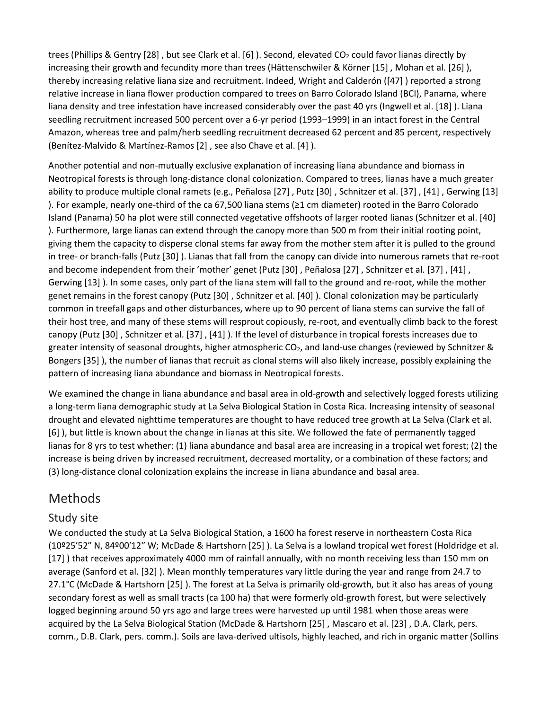trees (Phillips & Gentry [28], but see Clark et al. [6]). Second, elevated CO<sub>2</sub> could favor lianas directly by increasing their growth and fecundity more than trees (Hättenschwiler & Körner [15] , Mohan et al. [26] ), thereby increasing relative liana size and recruitment. Indeed, Wright and Calderón ([47] ) reported a strong relative increase in liana flower production compared to trees on Barro Colorado Island (BCI), Panama, where liana density and tree infestation have increased considerably over the past 40 yrs (Ingwell et al. [18] ). Liana seedling recruitment increased 500 percent over a 6-yr period (1993–1999) in an intact forest in the Central Amazon, whereas tree and palm/herb seedling recruitment decreased 62 percent and 85 percent, respectively (Benítez-Malvido & Martínez-Ramos [2] , see also Chave et al. [4] ).

Another potential and non-mutually exclusive explanation of increasing liana abundance and biomass in Neotropical forests is through long-distance clonal colonization. Compared to trees, lianas have a much greater ability to produce multiple clonal ramets (e.g., Peñalosa [27] , Putz [30] , Schnitzer et al. [37] , [41] , Gerwing [13] ). For example, nearly one‐third of the ca 67,500 liana stems (≥1 cm diameter) rooted in the Barro Colorado Island (Panama) 50 ha plot were still connected vegetative offshoots of larger rooted lianas (Schnitzer et al. [40] ). Furthermore, large lianas can extend through the canopy more than 500 m from their initial rooting point, giving them the capacity to disperse clonal stems far away from the mother stem after it is pulled to the ground in tree- or branch-falls (Putz [30] ). Lianas that fall from the canopy can divide into numerous ramets that re-root and become independent from their 'mother' genet (Putz [30] , Peñalosa [27] , Schnitzer et al. [37] , [41] , Gerwing [13] ). In some cases, only part of the liana stem will fall to the ground and re-root, while the mother genet remains in the forest canopy (Putz [30] , Schnitzer et al. [40] ). Clonal colonization may be particularly common in treefall gaps and other disturbances, where up to 90 percent of liana stems can survive the fall of their host tree, and many of these stems will resprout copiously, re-root, and eventually climb back to the forest canopy (Putz [30] , Schnitzer et al. [37] , [41] ). If the level of disturbance in tropical forests increases due to greater intensity of seasonal droughts, higher atmospheric  $CO<sub>2</sub>$ , and land-use changes (reviewed by Schnitzer & Bongers [35] ), the number of lianas that recruit as clonal stems will also likely increase, possibly explaining the pattern of increasing liana abundance and biomass in Neotropical forests.

We examined the change in liana abundance and basal area in old-growth and selectively logged forests utilizing a long-term liana demographic study at La Selva Biological Station in Costa Rica. Increasing intensity of seasonal drought and elevated nighttime temperatures are thought to have reduced tree growth at La Selva (Clark et al. [6] ), but little is known about the change in lianas at this site. We followed the fate of permanently tagged lianas for 8 yrs to test whether: (1) liana abundance and basal area are increasing in a tropical wet forest; (2) the increase is being driven by increased recruitment, decreased mortality, or a combination of these factors; and (3) long-distance clonal colonization explains the increase in liana abundance and basal area.

## [Methods](https://0-web-b-ebscohost-com.libus.csd.mu.edu/ehost/detail/detail?vid=2&sid=b982b9ea-cecd-4c07-8252-89438a9de23b%40sessionmgr102&bdata=JnNpdGU9ZWhvc3QtbGl2ZQ%3d%3d#toc)

#### [Study site](https://0-web-b-ebscohost-com.libus.csd.mu.edu/ehost/detail/detail?vid=2&sid=b982b9ea-cecd-4c07-8252-89438a9de23b%40sessionmgr102&bdata=JnNpdGU9ZWhvc3QtbGl2ZQ%3d%3d#toc)

We conducted the study at La Selva Biological Station, a 1600 ha forest reserve in northeastern Costa Rica (10º25′52″ N, 84º00′12″ W; McDade & Hartshorn [25] ). La Selva is a lowland tropical wet forest (Holdridge et al. [17] ) that receives approximately 4000 mm of rainfall annually, with no month receiving less than 150 mm on average (Sanford et al. [32] ). Mean monthly temperatures vary little during the year and range from 24.7 to 27.1°C (McDade & Hartshorn [25] ). The forest at La Selva is primarily old-growth, but it also has areas of young secondary forest as well as small tracts (ca 100 ha) that were formerly old-growth forest, but were selectively logged beginning around 50 yrs ago and large trees were harvested up until 1981 when those areas were acquired by the La Selva Biological Station (McDade & Hartshorn [25] , Mascaro et al. [23] , D.A. Clark, pers. comm., D.B. Clark, pers. comm.). Soils are lava-derived ultisols, highly leached, and rich in organic matter (Sollins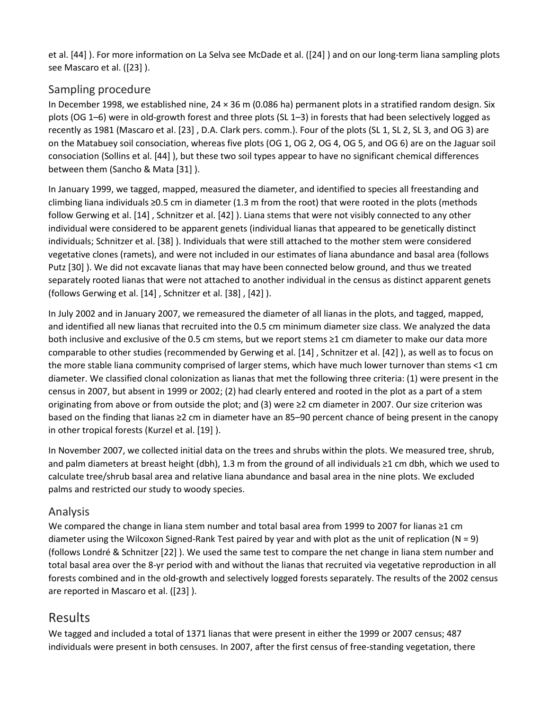et al. [44] ). For more information on La Selva see McDade et al. ([24] ) and on our long-term liana sampling plots see Mascaro et al. ([23] ).

#### [Sampling procedure](https://0-web-b-ebscohost-com.libus.csd.mu.edu/ehost/detail/detail?vid=2&sid=b982b9ea-cecd-4c07-8252-89438a9de23b%40sessionmgr102&bdata=JnNpdGU9ZWhvc3QtbGl2ZQ%3d%3d#toc)

In December 1998, we established nine, 24 × 36 m (0.086 ha) permanent plots in a stratified random design. Six plots (OG 1–6) were in old-growth forest and three plots (SL 1–3) in forests that had been selectively logged as recently as 1981 (Mascaro et al. [23] , D.A. Clark pers. comm.). Four of the plots (SL 1, SL 2, SL 3, and OG 3) are on the Matabuey soil consociation, whereas five plots (OG 1, OG 2, OG 4, OG 5, and OG 6) are on the Jaguar soil consociation (Sollins et al. [44] ), but these two soil types appear to have no significant chemical differences between them (Sancho & Mata [31] ).

In January 1999, we tagged, mapped, measured the diameter, and identified to species all freestanding and climbing liana individuals ≥0.5 cm in diameter (1.3 m from the root) that were rooted in the plots (methods follow Gerwing et al. [14] , Schnitzer et al. [42] ). Liana stems that were not visibly connected to any other individual were considered to be apparent genets (individual lianas that appeared to be genetically distinct individuals; Schnitzer et al. [38] ). Individuals that were still attached to the mother stem were considered vegetative clones (ramets), and were not included in our estimates of liana abundance and basal area (follows Putz [30] ). We did not excavate lianas that may have been connected below ground, and thus we treated separately rooted lianas that were not attached to another individual in the census as distinct apparent genets (follows Gerwing et al. [14] , Schnitzer et al. [38] , [42] ).

In July 2002 and in January 2007, we remeasured the diameter of all lianas in the plots, and tagged, mapped, and identified all new lianas that recruited into the 0.5 cm minimum diameter size class. We analyzed the data both inclusive and exclusive of the 0.5 cm stems, but we report stems ≥1 cm diameter to make our data more comparable to other studies (recommended by Gerwing et al. [14] , Schnitzer et al. [42] ), as well as to focus on the more stable liana community comprised of larger stems, which have much lower turnover than stems <1 cm diameter. We classified clonal colonization as lianas that met the following three criteria: (1) were present in the census in 2007, but absent in 1999 or 2002; (2) had clearly entered and rooted in the plot as a part of a stem originating from above or from outside the plot; and (3) were ≥2 cm diameter in 2007. Our size criterion was based on the finding that lianas ≥2 cm in diameter have an 85–90 percent chance of being present in the canopy in other tropical forests (Kurzel et al. [19] ).

In November 2007, we collected initial data on the trees and shrubs within the plots. We measured tree, shrub, and palm diameters at breast height (dbh), 1.3 m from the ground of all individuals ≥1 cm dbh, which we used to calculate tree/shrub basal area and relative liana abundance and basal area in the nine plots. We excluded palms and restricted our study to woody species.

#### [Analysis](https://0-web-b-ebscohost-com.libus.csd.mu.edu/ehost/detail/detail?vid=2&sid=b982b9ea-cecd-4c07-8252-89438a9de23b%40sessionmgr102&bdata=JnNpdGU9ZWhvc3QtbGl2ZQ%3d%3d#toc)

We compared the change in liana stem number and total basal area from 1999 to 2007 for lianas ≥1 cm diameter using the Wilcoxon Signed-Rank Test paired by year and with plot as the unit of replication (N = 9) (follows Londré & Schnitzer [22] ). We used the same test to compare the net change in liana stem number and total basal area over the 8-yr period with and without the lianas that recruited via vegetative reproduction in all forests combined and in the old-growth and selectively logged forests separately. The results of the 2002 census are reported in Mascaro et al. ([23] ).

## [Results](https://0-web-b-ebscohost-com.libus.csd.mu.edu/ehost/detail/detail?vid=2&sid=b982b9ea-cecd-4c07-8252-89438a9de23b%40sessionmgr102&bdata=JnNpdGU9ZWhvc3QtbGl2ZQ%3d%3d#toc)

We tagged and included a total of 1371 lianas that were present in either the 1999 or 2007 census; 487 individuals were present in both censuses. In 2007, after the first census of free-standing vegetation, there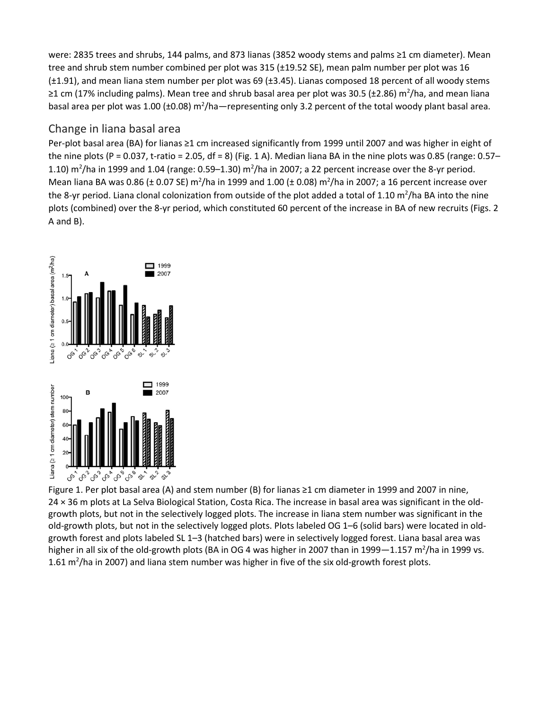were: 2835 trees and shrubs, 144 palms, and 873 lianas (3852 woody stems and palms ≥1 cm diameter). Mean tree and shrub stem number combined per plot was 315 (±19.52 SE), mean palm number per plot was 16 (±1.91), and mean liana stem number per plot was 69 (±3.45). Lianas composed 18 percent of all woody stems ≥1 cm (17% including palms). Mean tree and shrub basal area per plot was 30.5 (±2.86) m<sup>2</sup>/ha, and mean liana basal area per plot was 1.00 (±0.08) m<sup>2</sup>/ha—representing only 3.2 percent of the total woody plant basal area.

#### [Change in liana basal area](https://0-web-b-ebscohost-com.libus.csd.mu.edu/ehost/detail/detail?vid=2&sid=b982b9ea-cecd-4c07-8252-89438a9de23b%40sessionmgr102&bdata=JnNpdGU9ZWhvc3QtbGl2ZQ%3d%3d#toc)

Per‐plot basal area (BA) for lianas ≥1 cm increased significantly from 1999 until 2007 and was higher in eight of the nine plots (P = 0.037, t-ratio = 2.05, df = 8) (Fig. 1 A). Median liana BA in the nine plots was 0.85 (range: 0.57– 1.10)  $m^2/h$ a in 1999 and 1.04 (range: 0.59–1.30)  $m^2/h$ a in 2007; a 22 percent increase over the 8-yr period. Mean liana BA was 0.86 ( $\pm$  0.07 SE) m<sup>2</sup>/ha in 1999 and 1.00 ( $\pm$  0.08) m<sup>2</sup>/ha in 2007; a 16 percent increase over the 8-yr period. Liana clonal colonization from outside of the plot added a total of 1.10 m<sup>2</sup>/ha BA into the nine plots (combined) over the 8-yr period, which constituted 60 percent of the increase in BA of new recruits (Figs. 2 A and B).



Figure 1. Per plot basal area (A) and stem number (B) for lianas ≥1 cm diameter in 1999 and 2007 in nine, 24 × 36 m plots at La Selva Biological Station, Costa Rica. The increase in basal area was significant in the oldgrowth plots, but not in the selectively logged plots. The increase in liana stem number was significant in the old-growth plots, but not in the selectively logged plots. Plots labeled OG 1–6 (solid bars) were located in oldgrowth forest and plots labeled SL 1–3 (hatched bars) were in selectively logged forest. Liana basal area was higher in all six of the old-growth plots (BA in OG 4 was higher in 2007 than in 1999 $-1.157$  m<sup>2</sup>/ha in 1999 vs. 1.61 m<sup>2</sup>/ha in 2007) and liana stem number was higher in five of the six old-growth forest plots.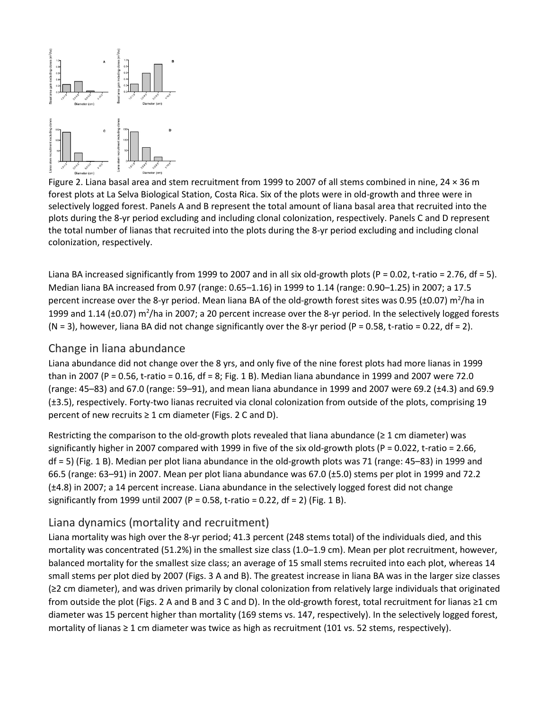

Figure 2. Liana basal area and stem recruitment from 1999 to 2007 of all stems combined in nine, 24 × 36 m forest plots at La Selva Biological Station, Costa Rica. Six of the plots were in old-growth and three were in selectively logged forest. Panels A and B represent the total amount of liana basal area that recruited into the plots during the 8-yr period excluding and including clonal colonization, respectively. Panels C and D represent the total number of lianas that recruited into the plots during the 8-yr period excluding and including clonal colonization, respectively.

Liana BA increased significantly from 1999 to 2007 and in all six old-growth plots (P = 0.02, t-ratio = 2.76, df = 5). Median liana BA increased from 0.97 (range: 0.65–1.16) in 1999 to 1.14 (range: 0.90–1.25) in 2007; a 17.5 percent increase over the 8-yr period. Mean liana BA of the old-growth forest sites was 0.95 (±0.07) m<sup>2</sup>/ha in 1999 and 1.14 ( $\pm$ 0.07) m<sup>2</sup>/ha in 2007; a 20 percent increase over the 8-yr period. In the selectively logged forests (N = 3), however, liana BA did not change significantly over the 8-yr period (P = 0.58, t-ratio = 0.22, df = 2).

#### [Change in liana abundance](https://0-web-b-ebscohost-com.libus.csd.mu.edu/ehost/detail/detail?vid=2&sid=b982b9ea-cecd-4c07-8252-89438a9de23b%40sessionmgr102&bdata=JnNpdGU9ZWhvc3QtbGl2ZQ%3d%3d#toc)

Liana abundance did not change over the 8 yrs, and only five of the nine forest plots had more lianas in 1999 than in 2007 (P = 0.56, t-ratio = 0.16, df = 8; Fig. 1 B). Median liana abundance in 1999 and 2007 were 72.0 (range: 45–83) and 67.0 (range: 59–91), and mean liana abundance in 1999 and 2007 were 69.2 (±4.3) and 69.9 (±3.5), respectively. Forty-two lianas recruited via clonal colonization from outside of the plots, comprising 19 percent of new recruits ≥ 1 cm diameter (Figs. 2 C and D).

Restricting the comparison to the old-growth plots revealed that liana abundance ( $\geq 1$  cm diameter) was significantly higher in 2007 compared with 1999 in five of the six old-growth plots (P = 0.022, t-ratio = 2.66, df = 5) (Fig. 1 B). Median per plot liana abundance in the old-growth plots was 71 (range: 45–83) in 1999 and 66.5 (range: 63–91) in 2007. Mean per plot liana abundance was 67.0 (±5.0) stems per plot in 1999 and 72.2 (±4.8) in 2007; a 14 percent increase. Liana abundance in the selectively logged forest did not change significantly from 1999 until 2007 (P = 0.58, t-ratio = 0.22, df = 2) (Fig. 1 B).

#### [Liana dynamics \(mortality and recruitment\)](https://0-web-b-ebscohost-com.libus.csd.mu.edu/ehost/detail/detail?vid=2&sid=b982b9ea-cecd-4c07-8252-89438a9de23b%40sessionmgr102&bdata=JnNpdGU9ZWhvc3QtbGl2ZQ%3d%3d#toc)

Liana mortality was high over the 8-yr period; 41.3 percent (248 stems total) of the individuals died, and this mortality was concentrated (51.2%) in the smallest size class (1.0–1.9 cm). Mean per plot recruitment, however, balanced mortality for the smallest size class; an average of 15 small stems recruited into each plot, whereas 14 small stems per plot died by 2007 (Figs. 3 A and B). The greatest increase in liana BA was in the larger size classes (≥2 cm diameter), and was driven primarily by clonal colonization from relatively large individuals that originated from outside the plot (Figs. 2 A and B and 3 C and D). In the old‐growth forest, total recruitment for lianas ≥1 cm diameter was 15 percent higher than mortality (169 stems vs. 147, respectively). In the selectively logged forest, mortality of lianas ≥ 1 cm diameter was twice as high as recruitment (101 vs. 52 stems, respectively).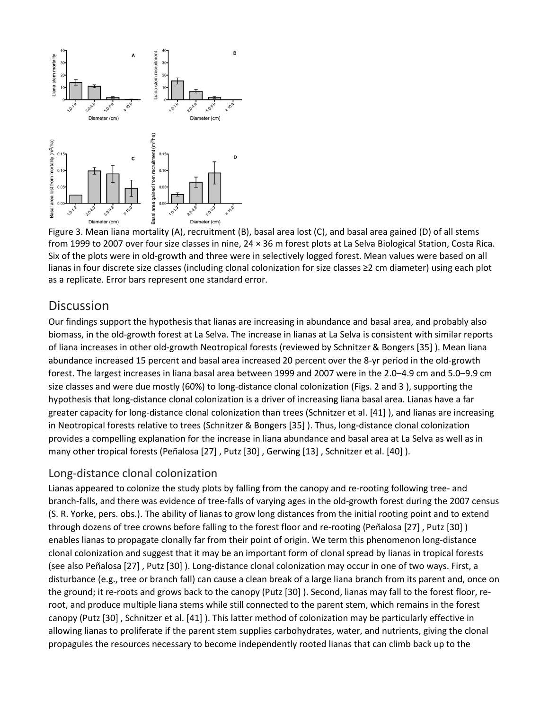

Figure 3. Mean liana mortality (A), recruitment (B), basal area lost (C), and basal area gained (D) of all stems from 1999 to 2007 over four size classes in nine, 24 × 36 m forest plots at La Selva Biological Station, Costa Rica. Six of the plots were in old-growth and three were in selectively logged forest. Mean values were based on all lianas in four discrete size classes (including clonal colonization for size classes ≥2 cm diameter) using each plot as a replicate. Error bars represent one standard error.

#### **[Discussion](https://0-web-b-ebscohost-com.libus.csd.mu.edu/ehost/detail/detail?vid=2&sid=b982b9ea-cecd-4c07-8252-89438a9de23b%40sessionmgr102&bdata=JnNpdGU9ZWhvc3QtbGl2ZQ%3d%3d#toc)**

Our findings support the hypothesis that lianas are increasing in abundance and basal area, and probably also biomass, in the old-growth forest at La Selva. The increase in lianas at La Selva is consistent with similar reports of liana increases in other old-growth Neotropical forests (reviewed by Schnitzer & Bongers [35] ). Mean liana abundance increased 15 percent and basal area increased 20 percent over the 8-yr period in the old-growth forest. The largest increases in liana basal area between 1999 and 2007 were in the 2.0–4.9 cm and 5.0–9.9 cm size classes and were due mostly (60%) to long-distance clonal colonization (Figs. 2 and 3 ), supporting the hypothesis that long-distance clonal colonization is a driver of increasing liana basal area. Lianas have a far greater capacity for long-distance clonal colonization than trees (Schnitzer et al. [41] ), and lianas are increasing in Neotropical forests relative to trees (Schnitzer & Bongers [35] ). Thus, long-distance clonal colonization provides a compelling explanation for the increase in liana abundance and basal area at La Selva as well as in many other tropical forests (Peñalosa [27] , Putz [30] , Gerwing [13] , Schnitzer et al. [40] ).

#### [Long-distance clonal colonization](https://0-web-b-ebscohost-com.libus.csd.mu.edu/ehost/detail/detail?vid=2&sid=b982b9ea-cecd-4c07-8252-89438a9de23b%40sessionmgr102&bdata=JnNpdGU9ZWhvc3QtbGl2ZQ%3d%3d#toc)

Lianas appeared to colonize the study plots by falling from the canopy and re-rooting following tree- and branch-falls, and there was evidence of tree-falls of varying ages in the old-growth forest during the 2007 census (S. R. Yorke, pers. obs.). The ability of lianas to grow long distances from the initial rooting point and to extend through dozens of tree crowns before falling to the forest floor and re-rooting (Peñalosa [27] , Putz [30] ) enables lianas to propagate clonally far from their point of origin. We term this phenomenon long-distance clonal colonization and suggest that it may be an important form of clonal spread by lianas in tropical forests (see also Peñalosa [27] , Putz [30] ). Long-distance clonal colonization may occur in one of two ways. First, a disturbance (e.g., tree or branch fall) can cause a clean break of a large liana branch from its parent and, once on the ground; it re-roots and grows back to the canopy (Putz [30] ). Second, lianas may fall to the forest floor, reroot, and produce multiple liana stems while still connected to the parent stem, which remains in the forest canopy (Putz [30] , Schnitzer et al. [41] ). This latter method of colonization may be particularly effective in allowing lianas to proliferate if the parent stem supplies carbohydrates, water, and nutrients, giving the clonal propagules the resources necessary to become independently rooted lianas that can climb back up to the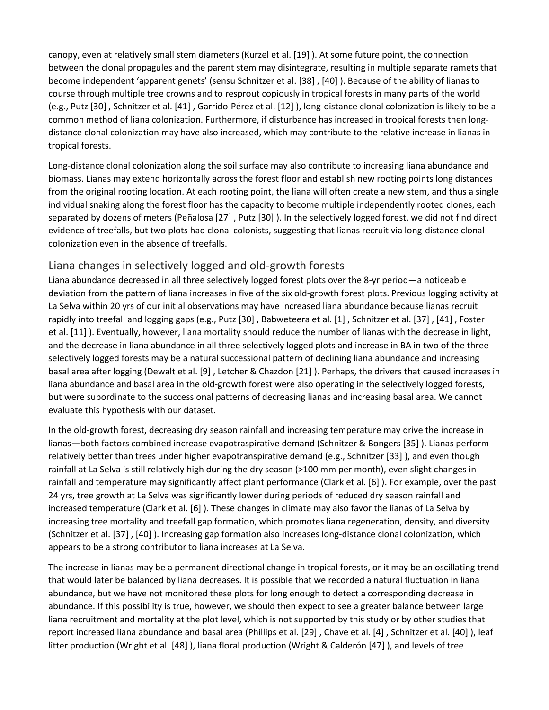canopy, even at relatively small stem diameters (Kurzel et al. [19] ). At some future point, the connection between the clonal propagules and the parent stem may disintegrate, resulting in multiple separate ramets that become independent 'apparent genets' (sensu Schnitzer et al. [38] , [40] ). Because of the ability of lianas to course through multiple tree crowns and to resprout copiously in tropical forests in many parts of the world (e.g., Putz [30] , Schnitzer et al. [41] , Garrido-Pérez et al. [12] ), long-distance clonal colonization is likely to be a common method of liana colonization. Furthermore, if disturbance has increased in tropical forests then longdistance clonal colonization may have also increased, which may contribute to the relative increase in lianas in tropical forests.

Long-distance clonal colonization along the soil surface may also contribute to increasing liana abundance and biomass. Lianas may extend horizontally across the forest floor and establish new rooting points long distances from the original rooting location. At each rooting point, the liana will often create a new stem, and thus a single individual snaking along the forest floor has the capacity to become multiple independently rooted clones, each separated by dozens of meters (Peñalosa [27] , Putz [30] ). In the selectively logged forest, we did not find direct evidence of treefalls, but two plots had clonal colonists, suggesting that lianas recruit via long-distance clonal colonization even in the absence of treefalls.

#### [Liana changes in selectively logged and old-growth forests](https://0-web-b-ebscohost-com.libus.csd.mu.edu/ehost/detail/detail?vid=2&sid=b982b9ea-cecd-4c07-8252-89438a9de23b%40sessionmgr102&bdata=JnNpdGU9ZWhvc3QtbGl2ZQ%3d%3d#toc)

Liana abundance decreased in all three selectively logged forest plots over the 8-yr period—a noticeable deviation from the pattern of liana increases in five of the six old-growth forest plots. Previous logging activity at La Selva within 20 yrs of our initial observations may have increased liana abundance because lianas recruit rapidly into treefall and logging gaps (e.g., Putz [30] , Babweteera et al. [1] , Schnitzer et al. [37] , [41] , Foster et al. [11] ). Eventually, however, liana mortality should reduce the number of lianas with the decrease in light, and the decrease in liana abundance in all three selectively logged plots and increase in BA in two of the three selectively logged forests may be a natural successional pattern of declining liana abundance and increasing basal area after logging (Dewalt et al. [9] , Letcher & Chazdon [21] ). Perhaps, the drivers that caused increases in liana abundance and basal area in the old-growth forest were also operating in the selectively logged forests, but were subordinate to the successional patterns of decreasing lianas and increasing basal area. We cannot evaluate this hypothesis with our dataset.

In the old-growth forest, decreasing dry season rainfall and increasing temperature may drive the increase in lianas—both factors combined increase evapotraspirative demand (Schnitzer & Bongers [35] ). Lianas perform relatively better than trees under higher evapotranspirative demand (e.g., Schnitzer [33] ), and even though rainfall at La Selva is still relatively high during the dry season (>100 mm per month), even slight changes in rainfall and temperature may significantly affect plant performance (Clark et al. [6] ). For example, over the past 24 yrs, tree growth at La Selva was significantly lower during periods of reduced dry season rainfall and increased temperature (Clark et al. [6] ). These changes in climate may also favor the lianas of La Selva by increasing tree mortality and treefall gap formation, which promotes liana regeneration, density, and diversity (Schnitzer et al. [37] , [40] ). Increasing gap formation also increases long-distance clonal colonization, which appears to be a strong contributor to liana increases at La Selva.

The increase in lianas may be a permanent directional change in tropical forests, or it may be an oscillating trend that would later be balanced by liana decreases. It is possible that we recorded a natural fluctuation in liana abundance, but we have not monitored these plots for long enough to detect a corresponding decrease in abundance. If this possibility is true, however, we should then expect to see a greater balance between large liana recruitment and mortality at the plot level, which is not supported by this study or by other studies that report increased liana abundance and basal area (Phillips et al. [29] , Chave et al. [4] , Schnitzer et al. [40] ), leaf litter production (Wright et al. [48] ), liana floral production (Wright & Calderón [47] ), and levels of tree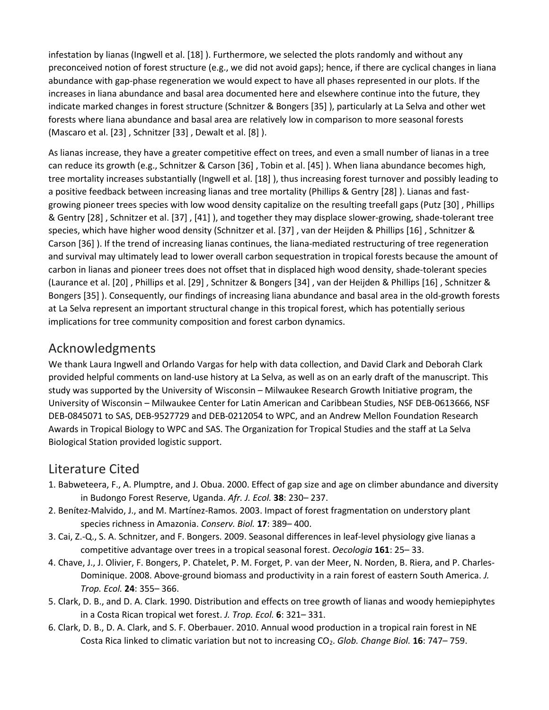infestation by lianas (Ingwell et al. [18] ). Furthermore, we selected the plots randomly and without any preconceived notion of forest structure (e.g., we did not avoid gaps); hence, if there are cyclical changes in liana abundance with gap-phase regeneration we would expect to have all phases represented in our plots. If the increases in liana abundance and basal area documented here and elsewhere continue into the future, they indicate marked changes in forest structure (Schnitzer & Bongers [35] ), particularly at La Selva and other wet forests where liana abundance and basal area are relatively low in comparison to more seasonal forests (Mascaro et al. [23] , Schnitzer [33] , Dewalt et al. [8] ).

As lianas increase, they have a greater competitive effect on trees, and even a small number of lianas in a tree can reduce its growth (e.g., Schnitzer & Carson [36] , Tobin et al. [45] ). When liana abundance becomes high, tree mortality increases substantially (Ingwell et al. [18] ), thus increasing forest turnover and possibly leading to a positive feedback between increasing lianas and tree mortality (Phillips & Gentry [28] ). Lianas and fastgrowing pioneer trees species with low wood density capitalize on the resulting treefall gaps (Putz [30] , Phillips & Gentry [28] , Schnitzer et al. [37] , [41] ), and together they may displace slower-growing, shade-tolerant tree species, which have higher wood density (Schnitzer et al. [37] , van der Heijden & Phillips [16] , Schnitzer & Carson [36] ). If the trend of increasing lianas continues, the liana-mediated restructuring of tree regeneration and survival may ultimately lead to lower overall carbon sequestration in tropical forests because the amount of carbon in lianas and pioneer trees does not offset that in displaced high wood density, shade-tolerant species (Laurance et al. [20] , Phillips et al. [29] , Schnitzer & Bongers [34] , van der Heijden & Phillips [16] , Schnitzer & Bongers [35] ). Consequently, our findings of increasing liana abundance and basal area in the old-growth forests at La Selva represent an important structural change in this tropical forest, which has potentially serious implications for tree community composition and forest carbon dynamics.

# [Acknowledgments](https://0-web-b-ebscohost-com.libus.csd.mu.edu/ehost/detail/detail?vid=2&sid=b982b9ea-cecd-4c07-8252-89438a9de23b%40sessionmgr102&bdata=JnNpdGU9ZWhvc3QtbGl2ZQ%3d%3d#toc)

We thank Laura Ingwell and Orlando Vargas for help with data collection, and David Clark and Deborah Clark provided helpful comments on land-use history at La Selva, as well as on an early draft of the manuscript. This study was supported by the University of Wisconsin – Milwaukee Research Growth Initiative program, the University of Wisconsin – Milwaukee Center for Latin American and Caribbean Studies, NSF DEB-0613666, NSF DEB-0845071 to SAS, DEB-9527729 and DEB-0212054 to WPC, and an Andrew Mellon Foundation Research Awards in Tropical Biology to WPC and SAS. The Organization for Tropical Studies and the staff at La Selva Biological Station provided logistic support.

# [Literature Cited](https://0-web-b-ebscohost-com.libus.csd.mu.edu/ehost/detail/detail?vid=2&sid=b982b9ea-cecd-4c07-8252-89438a9de23b%40sessionmgr102&bdata=JnNpdGU9ZWhvc3QtbGl2ZQ%3d%3d#toc)

- 1. Babweteera, F., A. Plumptre, and J. Obua. 2000. Effect of gap size and age on climber abundance and diversity in Budongo Forest Reserve, Uganda. *Afr. J. Ecol.* **38**: 230– 237.
- 2. Benítez-Malvido, J., and M. Martínez-Ramos. 2003. Impact of forest fragmentation on understory plant species richness in Amazonia. *Conserv. Biol.* **17**: 389– 400.
- 3. Cai, Z.-Q., S. A. Schnitzer, and F. Bongers. 2009. Seasonal differences in leaf-level physiology give lianas a competitive advantage over trees in a tropical seasonal forest. *Oecologia* **161**: 25– 33.
- 4. Chave, J., J. Olivier, F. Bongers, P. Chatelet, P. M. Forget, P. van der Meer, N. Norden, B. Riera, and P. Charles-Dominique. 2008. Above-ground biomass and productivity in a rain forest of eastern South America. *J. Trop. Ecol.* **24**: 355– 366.
- 5. Clark, D. B., and D. A. Clark. 1990. Distribution and effects on tree growth of lianas and woody hemiepiphytes in a Costa Rican tropical wet forest. *J. Trop. Ecol.* **6**: 321– 331.
- 6. Clark, D. B., D. A. Clark, and S. F. Oberbauer. 2010. Annual wood production in a tropical rain forest in NE Costa Rica linked to climatic variation but not to increasing CO2. *Glob. Change Biol.* **16**: 747– 759.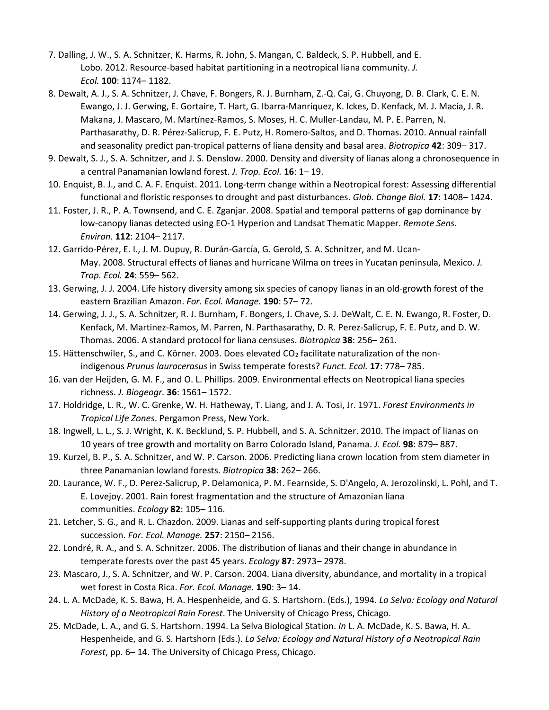- 7. Dalling, J. W., S. A. Schnitzer, K. Harms, R. John, S. Mangan, C. Baldeck, S. P. Hubbell, and E. Lobo. 2012. Resource-based habitat partitioning in a neotropical liana community. *J. Ecol.* **100**: 1174– 1182.
- 8. Dewalt, A. J., S. A. Schnitzer, J. Chave, F. Bongers, R. J. Burnham, Z.-Q. Cai, G. Chuyong, D. B. Clark, C. E. N. Ewango, J. J. Gerwing, E. Gortaire, T. Hart, G. Ibarra-Manríquez, K. Ickes, D. Kenfack, M. J. Macía, J. R. Makana, J. Mascaro, M. Martínez-Ramos, S. Moses, H. C. Muller-Landau, M. P. E. Parren, N. Parthasarathy, D. R. Pérez-Salicrup, F. E. Putz, H. Romero-Saltos, and D. Thomas. 2010. Annual rainfall and seasonality predict pan-tropical patterns of liana density and basal area. *Biotropica* **42**: 309– 317.
- 9. Dewalt, S. J., S. A. Schnitzer, and J. S. Denslow. 2000. Density and diversity of lianas along a chronosequence in a central Panamanian lowland forest. *J. Trop. Ecol.* **16**: 1– 19.
- 10. Enquist, B. J., and C. A. F. Enquist. 2011. Long-term change within a Neotropical forest: Assessing differential functional and floristic responses to drought and past disturbances. *Glob. Change Biol.* **17**: 1408– 1424.
- 11. Foster, J. R., P. A. Townsend, and C. E. Zganjar. 2008. Spatial and temporal patterns of gap dominance by low-canopy lianas detected using EO-1 Hyperion and Landsat Thematic Mapper. *Remote Sens. Environ.* **112**: 2104– 2117.
- 12. Garrido-Pérez, E. I., J. M. Dupuy, R. Durán-García, G. Gerold, S. A. Schnitzer, and M. Ucan-May. 2008. Structural effects of lianas and hurricane Wilma on trees in Yucatan peninsula, Mexico. *J. Trop. Ecol.* **24**: 559– 562.
- 13. Gerwing, J. J. 2004. Life history diversity among six species of canopy lianas in an old-growth forest of the eastern Brazilian Amazon. *For. Ecol. Manage.* **190**: 57– 72.
- 14. Gerwing, J. J., S. A. Schnitzer, R. J. Burnham, F. Bongers, J. Chave, S. J. DeWalt, C. E. N. Ewango, R. Foster, D. Kenfack, M. Martinez-Ramos, M. Parren, N. Parthasarathy, D. R. Perez-Salicrup, F. E. Putz, and D. W. Thomas. 2006. A standard protocol for liana censuses. *Biotropica* **38**: 256– 261.
- 15. Hättenschwiler, S., and C. Körner. 2003. Does elevated  $CO<sub>2</sub>$  facilitate naturalization of the nonindigenous *Prunus laurocerasus* in Swiss temperate forests? *Funct. Ecol.* **17**: 778– 785.
- 16. van der Heijden, G. M. F., and O. L. Phillips. 2009. Environmental effects on Neotropical liana species richness. *J. Biogeogr.* **36**: 1561– 1572.
- 17. Holdridge, L. R., W. C. Grenke, W. H. Hatheway, T. Liang, and J. A. Tosi, Jr. 1971. *Forest Environments in Tropical Life Zones*. Pergamon Press, New York.
- 18. Ingwell, L. L., S. J. Wright, K. K. Becklund, S. P. Hubbell, and S. A. Schnitzer. 2010. The impact of lianas on 10 years of tree growth and mortality on Barro Colorado Island, Panama. *J. Ecol.* **98**: 879– 887.
- 19. Kurzel, B. P., S. A. Schnitzer, and W. P. Carson. 2006. Predicting liana crown location from stem diameter in three Panamanian lowland forests. *Biotropica* **38**: 262– 266.
- 20. Laurance, W. F., D. Perez-Salicrup, P. Delamonica, P. M. Fearnside, S. D'Angelo, A. Jerozolinski, L. Pohl, and T. E. Lovejoy. 2001. Rain forest fragmentation and the structure of Amazonian liana communities. *Ecology* **82**: 105– 116.
- 21. Letcher, S. G., and R. L. Chazdon. 2009. Lianas and self-supporting plants during tropical forest succession. *For. Ecol. Manage.* **257**: 2150– 2156.
- 22. Londré, R. A., and S. A. Schnitzer. 2006. The distribution of lianas and their change in abundance in temperate forests over the past 45 years. *Ecology* **87**: 2973– 2978.
- 23. Mascaro, J., S. A. Schnitzer, and W. P. Carson. 2004. Liana diversity, abundance, and mortality in a tropical wet forest in Costa Rica. *For. Ecol. Manage.* **190**: 3– 14.
- 24. L. A. McDade, K. S. Bawa, H. A. Hespenheide, and G. S. Hartshorn. (Eds.), 1994. *La Selva: Ecology and Natural History of a Neotropical Rain Forest*. The University of Chicago Press, Chicago.
- 25. McDade, L. A., and G. S. Hartshorn. 1994. La Selva Biological Station. *In* L. A. McDade, K. S. Bawa, H. A. Hespenheide, and G. S. Hartshorn (Eds.). *La Selva: Ecology and Natural History of a Neotropical Rain Forest*, pp. 6– 14. The University of Chicago Press, Chicago.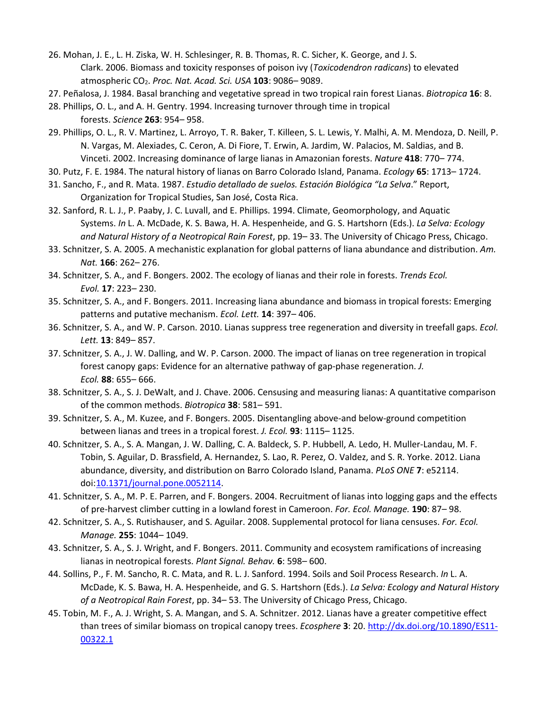- 26. Mohan, J. E., L. H. Ziska, W. H. Schlesinger, R. B. Thomas, R. C. Sicher, K. George, and J. S. Clark. 2006. Biomass and toxicity responses of poison ivy (*Toxicodendron radicans*) to elevated atmospheric CO2. *Proc. Nat. Acad. Sci. USA* **103**: 9086– 9089.
- 27. Peñalosa, J. 1984. Basal branching and vegetative spread in two tropical rain forest Lianas. *Biotropica* **16**: 8.
- 28. Phillips, O. L., and A. H. Gentry. 1994. Increasing turnover through time in tropical forests. *Science* **263**: 954– 958.
- 29. Phillips, O. L., R. V. Martinez, L. Arroyo, T. R. Baker, T. Killeen, S. L. Lewis, Y. Malhi, A. M. Mendoza, D. Neill, P. N. Vargas, M. Alexiades, C. Ceron, A. Di Fiore, T. Erwin, A. Jardim, W. Palacios, M. Saldias, and B. Vinceti. 2002. Increasing dominance of large lianas in Amazonian forests. *Nature* **418**: 770– 774.
- 30. Putz, F. E. 1984. The natural history of lianas on Barro Colorado Island, Panama. *Ecology* **65**: 1713– 1724.
- 31. Sancho, F., and R. Mata. 1987. *Estudio detallado de suelos. Estación Biológica "La Selva*." Report, Organization for Tropical Studies, San José, Costa Rica.
- 32. Sanford, R. L. J., P. Paaby, J. C. Luvall, and E. Phillips. 1994. Climate, Geomorphology, and Aquatic Systems. *In* L. A. McDade, K. S. Bawa, H. A. Hespenheide, and G. S. Hartshorn (Eds.). *La Selva: Ecology and Natural History of a Neotropical Rain Forest*, pp. 19– 33. The University of Chicago Press, Chicago.
- 33. Schnitzer, S. A. 2005. A mechanistic explanation for global patterns of liana abundance and distribution. *Am. Nat.* **166**: 262– 276.
- 34. Schnitzer, S. A., and F. Bongers. 2002. The ecology of lianas and their role in forests. *Trends Ecol. Evol.* **17**: 223– 230.
- 35. Schnitzer, S. A., and F. Bongers. 2011. Increasing liana abundance and biomass in tropical forests: Emerging patterns and putative mechanism. *Ecol. Lett.* **14**: 397– 406.
- 36. Schnitzer, S. A., and W. P. Carson. 2010. Lianas suppress tree regeneration and diversity in treefall gaps. *Ecol. Lett.* **13**: 849– 857.
- 37. Schnitzer, S. A., J. W. Dalling, and W. P. Carson. 2000. The impact of lianas on tree regeneration in tropical forest canopy gaps: Evidence for an alternative pathway of gap-phase regeneration. *J. Ecol.* **88**: 655– 666.
- 38. Schnitzer, S. A., S. J. DeWalt, and J. Chave. 2006. Censusing and measuring lianas: A quantitative comparison of the common methods. *Biotropica* **38**: 581– 591.
- 39. Schnitzer, S. A., M. Kuzee, and F. Bongers. 2005. Disentangling above-and below-ground competition between lianas and trees in a tropical forest. *J. Ecol.* **93**: 1115– 1125.
- 40. Schnitzer, S. A., S. A. Mangan, J. W. Dalling, C. A. Baldeck, S. P. Hubbell, A. Ledo, H. Muller-Landau, M. F. Tobin, S. Aguilar, D. Brassfield, A. Hernandez, S. Lao, R. Perez, O. Valdez, and S. R. Yorke. 2012. Liana abundance, diversity, and distribution on Barro Colorado Island, Panama. *PLoS ONE* **7**: e52114. doi[:10.1371/journal.pone.0052114.](https://doi.org/10.1371/journal.pone.0052114)
- 41. Schnitzer, S. A., M. P. E. Parren, and F. Bongers. 2004. Recruitment of lianas into logging gaps and the effects of pre-harvest climber cutting in a lowland forest in Cameroon. *For. Ecol. Manage.* **190**: 87– 98.
- 42. Schnitzer, S. A., S. Rutishauser, and S. Aguilar. 2008. Supplemental protocol for liana censuses. *For. Ecol. Manage.* **255**: 1044– 1049.
- 43. Schnitzer, S. A., S. J. Wright, and F. Bongers. 2011. Community and ecosystem ramifications of increasing lianas in neotropical forests. *Plant Signal. Behav.* **6**: 598– 600.
- 44. Sollins, P., F. M. Sancho, R. C. Mata, and R. L. J. Sanford. 1994. Soils and Soil Process Research. *In* L. A. McDade, K. S. Bawa, H. A. Hespenheide, and G. S. Hartshorn (Eds.). *La Selva: Ecology and Natural History of a Neotropical Rain Forest*, pp. 34– 53. The University of Chicago Press, Chicago.
- 45. Tobin, M. F., A. J. Wright, S. A. Mangan, and S. A. Schnitzer. 2012. Lianas have a greater competitive effect than trees of similar biomass on tropical canopy trees. *Ecosphere* **3**: 20. [http://dx.doi.org/10.1890/ES11-](http://dx.doi.org/10.1890/ES11-00322.1) [00322.1](http://dx.doi.org/10.1890/ES11-00322.1)